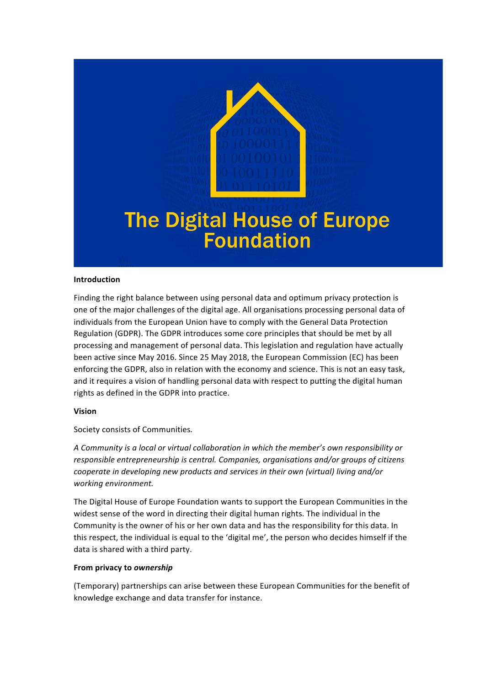

# **The Digital House of Europe Foundation**

#### **Introduction**

Finding the right balance between using personal data and optimum privacy protection is one of the major challenges of the digital age. All organisations processing personal data of individuals from the European Union have to comply with the General Data Protection Regulation (GDPR). The GDPR introduces some core principles that should be met by all processing and management of personal data. This legislation and regulation have actually been active since May 2016. Since 25 May 2018, the European Commission (EC) has been enforcing the GDPR, also in relation with the economy and science. This is not an easy task, and it requires a vision of handling personal data with respect to putting the digital human rights as defined in the GDPR into practice.

#### **Vision**

Society consists of Communities.

*A* Community is a local or virtual collaboration in which the member's own responsibility or *responsible entrepreneurship is central. Companies, organisations and/or groups of citizens cooperate in developing new products and services in their own (virtual) living and/or working environment.*

The Digital House of Europe Foundation wants to support the European Communities in the widest sense of the word in directing their digital human rights. The individual in the Community is the owner of his or her own data and has the responsibility for this data. In this respect, the individual is equal to the 'digital me', the person who decides himself if the data is shared with a third party.

#### From privacy to *ownership*

(Temporary) partnerships can arise between these European Communities for the benefit of knowledge exchange and data transfer for instance.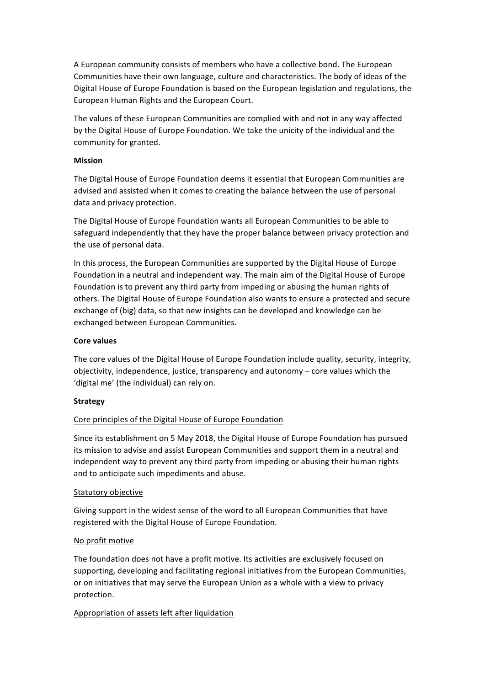A European community consists of members who have a collective bond. The European Communities have their own language, culture and characteristics. The body of ideas of the Digital House of Europe Foundation is based on the European legislation and regulations, the European Human Rights and the European Court.

The values of these European Communities are complied with and not in any way affected by the Digital House of Europe Foundation. We take the unicity of the individual and the community for granted.

#### **Mission**

The Digital House of Europe Foundation deems it essential that European Communities are advised and assisted when it comes to creating the balance between the use of personal data and privacy protection.

The Digital House of Europe Foundation wants all European Communities to be able to safeguard independently that they have the proper balance between privacy protection and the use of personal data.

In this process, the European Communities are supported by the Digital House of Europe Foundation in a neutral and independent way. The main aim of the Digital House of Europe Foundation is to prevent any third party from impeding or abusing the human rights of others. The Digital House of Europe Foundation also wants to ensure a protected and secure exchange of (big) data, so that new insights can be developed and knowledge can be exchanged between European Communities.

#### **Core** values

The core values of the Digital House of Europe Foundation include quality, security, integrity, objectivity, independence, justice, transparency and autonomy – core values which the 'digital me' (the individual) can rely on.

#### **Strategy**

## Core principles of the Digital House of Europe Foundation

Since its establishment on 5 May 2018, the Digital House of Europe Foundation has pursued its mission to advise and assist European Communities and support them in a neutral and independent way to prevent any third party from impeding or abusing their human rights and to anticipate such impediments and abuse.

#### Statutory objective

Giving support in the widest sense of the word to all European Communities that have registered with the Digital House of Europe Foundation.

#### No profit motive

The foundation does not have a profit motive. Its activities are exclusively focused on supporting, developing and facilitating regional initiatives from the European Communities, or on initiatives that may serve the European Union as a whole with a view to privacy protection.

## Appropriation of assets left after liquidation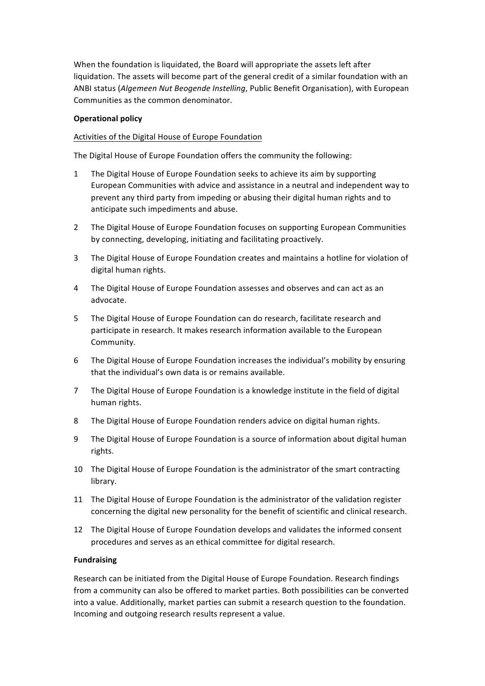When the foundation is liquidated, the Board will appropriate the assets left after liquidation. The assets will become part of the general credit of a similar foundation with an ANBI status (Algemeen Nut Beogende Instelling, Public Benefit Organisation), with European Communities as the common denominator.

#### **Operational policy**

### Activities of the Digital House of Europe Foundation

The Digital House of Europe Foundation offers the community the following:

- 1 The Digital House of Europe Foundation seeks to achieve its aim by supporting European Communities with advice and assistance in a neutral and independent way to prevent any third party from impeding or abusing their digital human rights and to anticipate such impediments and abuse.
- 2 The Digital House of Europe Foundation focuses on supporting European Communities by connecting, developing, initiating and facilitating proactively.
- 3 The Digital House of Europe Foundation creates and maintains a hotline for violation of digital human rights.
- 4 The Digital House of Europe Foundation assesses and observes and can act as an advocate.
- 5 The Digital House of Europe Foundation can do research, facilitate research and participate in research. It makes research information available to the European Community.
- 6 The Digital House of Europe Foundation increases the individual's mobility by ensuring that the individual's own data is or remains available.
- 7 The Digital House of Europe Foundation is a knowledge institute in the field of digital human rights.
- 8 The Digital House of Europe Foundation renders advice on digital human rights.
- 9 The Digital House of Europe Foundation is a source of information about digital human rights.
- 10 The Digital House of Europe Foundation is the administrator of the smart contracting library.
- 11 The Digital House of Europe Foundation is the administrator of the validation register concerning the digital new personality for the benefit of scientific and clinical research.
- 12 The Digital House of Europe Foundation develops and validates the informed consent procedures and serves as an ethical committee for digital research.

#### **Fundraising**

Research can be initiated from the Digital House of Europe Foundation. Research findings from a community can also be offered to market parties. Both possibilities can be converted into a value. Additionally, market parties can submit a research question to the foundation. Incoming and outgoing research results represent a value.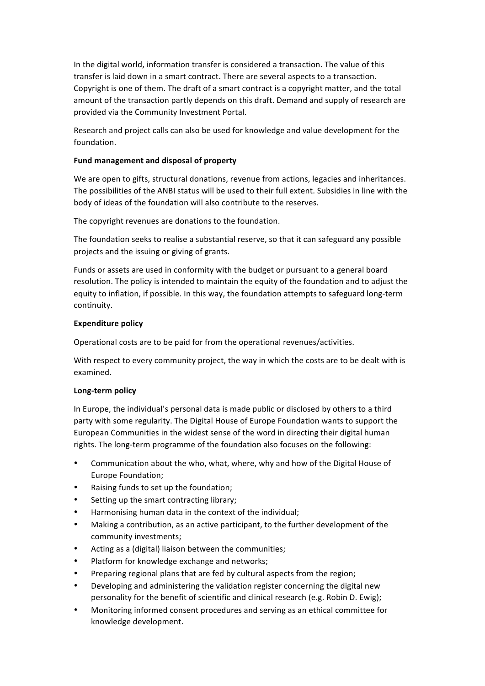In the digital world, information transfer is considered a transaction. The value of this transfer is laid down in a smart contract. There are several aspects to a transaction. Copyright is one of them. The draft of a smart contract is a copyright matter, and the total amount of the transaction partly depends on this draft. Demand and supply of research are provided via the Community Investment Portal.

Research and project calls can also be used for knowledge and value development for the foundation.

#### Fund management and disposal of property

We are open to gifts, structural donations, revenue from actions, legacies and inheritances. The possibilities of the ANBI status will be used to their full extent. Subsidies in line with the body of ideas of the foundation will also contribute to the reserves.

The copyright revenues are donations to the foundation.

The foundation seeks to realise a substantial reserve, so that it can safeguard any possible projects and the issuing or giving of grants.

Funds or assets are used in conformity with the budget or pursuant to a general board resolution. The policy is intended to maintain the equity of the foundation and to adjust the equity to inflation, if possible. In this way, the foundation attempts to safeguard long-term continuity.

#### **Expenditure policy**

Operational costs are to be paid for from the operational revenues/activities.

With respect to every community project, the way in which the costs are to be dealt with is examined.

#### **Long-term policy**

In Europe, the individual's personal data is made public or disclosed by others to a third party with some regularity. The Digital House of Europe Foundation wants to support the European Communities in the widest sense of the word in directing their digital human rights. The long-term programme of the foundation also focuses on the following:

- Communication about the who, what, where, why and how of the Digital House of Europe Foundation;
- Raising funds to set up the foundation;
- Setting up the smart contracting library;
- Harmonising human data in the context of the individual;
- Making a contribution, as an active participant, to the further development of the community investments;
- Acting as a (digital) liaison between the communities;
- Platform for knowledge exchange and networks;
- Preparing regional plans that are fed by cultural aspects from the region;
- Developing and administering the validation register concerning the digital new personality for the benefit of scientific and clinical research (e.g. Robin D. Ewig);
- Monitoring informed consent procedures and serving as an ethical committee for knowledge development.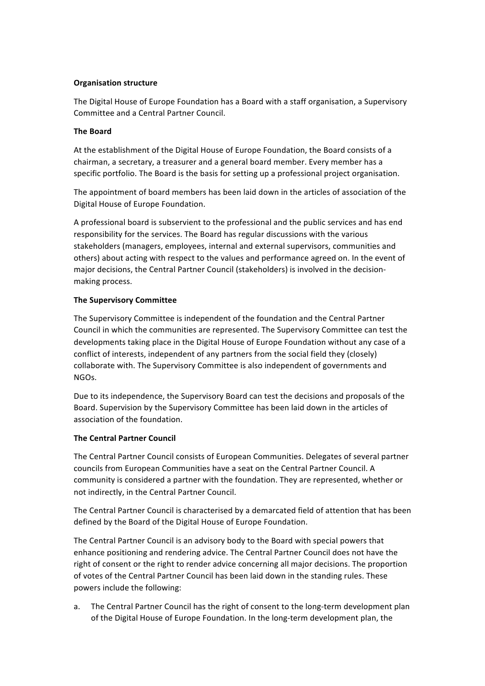## **Organisation structure**

The Digital House of Europe Foundation has a Board with a staff organisation, a Supervisory Committee and a Central Partner Council.

### **The Board**

At the establishment of the Digital House of Europe Foundation, the Board consists of a chairman, a secretary, a treasurer and a general board member. Every member has a specific portfolio. The Board is the basis for setting up a professional project organisation.

The appointment of board members has been laid down in the articles of association of the Digital House of Europe Foundation.

A professional board is subservient to the professional and the public services and has end responsibility for the services. The Board has regular discussions with the various stakeholders (managers, employees, internal and external supervisors, communities and others) about acting with respect to the values and performance agreed on. In the event of major decisions, the Central Partner Council (stakeholders) is involved in the decisionmaking process.

## **The Supervisory Committee**

The Supervisory Committee is independent of the foundation and the Central Partner Council in which the communities are represented. The Supervisory Committee can test the developments taking place in the Digital House of Europe Foundation without any case of a conflict of interests, independent of any partners from the social field they (closely) collaborate with. The Supervisory Committee is also independent of governments and NGOs. 

Due to its independence, the Supervisory Board can test the decisions and proposals of the Board. Supervision by the Supervisory Committee has been laid down in the articles of association of the foundation.

#### **The Central Partner Council**

The Central Partner Council consists of European Communities. Delegates of several partner councils from European Communities have a seat on the Central Partner Council. A community is considered a partner with the foundation. They are represented, whether or not indirectly, in the Central Partner Council.

The Central Partner Council is characterised by a demarcated field of attention that has been defined by the Board of the Digital House of Europe Foundation.

The Central Partner Council is an advisory body to the Board with special powers that enhance positioning and rendering advice. The Central Partner Council does not have the right of consent or the right to render advice concerning all major decisions. The proportion of votes of the Central Partner Council has been laid down in the standing rules. These powers include the following:

a. The Central Partner Council has the right of consent to the long-term development plan of the Digital House of Europe Foundation. In the long-term development plan, the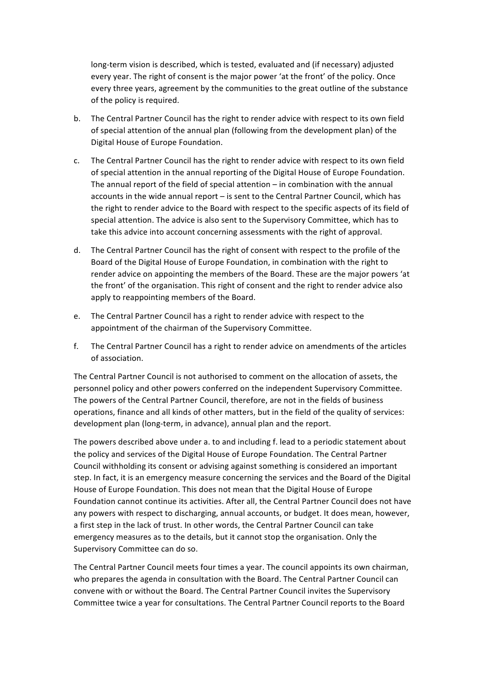long-term vision is described, which is tested, evaluated and (if necessary) adjusted every year. The right of consent is the major power 'at the front' of the policy. Once every three years, agreement by the communities to the great outline of the substance of the policy is required.

- b. The Central Partner Council has the right to render advice with respect to its own field of special attention of the annual plan (following from the development plan) of the Digital House of Europe Foundation.
- c. The Central Partner Council has the right to render advice with respect to its own field of special attention in the annual reporting of the Digital House of Europe Foundation. The annual report of the field of special attention  $-$  in combination with the annual accounts in the wide annual report – is sent to the Central Partner Council, which has the right to render advice to the Board with respect to the specific aspects of its field of special attention. The advice is also sent to the Supervisory Committee, which has to take this advice into account concerning assessments with the right of approval.
- d. The Central Partner Council has the right of consent with respect to the profile of the Board of the Digital House of Europe Foundation, in combination with the right to render advice on appointing the members of the Board. These are the major powers 'at the front' of the organisation. This right of consent and the right to render advice also apply to reappointing members of the Board.
- e. The Central Partner Council has a right to render advice with respect to the appointment of the chairman of the Supervisory Committee.
- f. The Central Partner Council has a right to render advice on amendments of the articles of association.

The Central Partner Council is not authorised to comment on the allocation of assets, the personnel policy and other powers conferred on the independent Supervisory Committee. The powers of the Central Partner Council, therefore, are not in the fields of business operations, finance and all kinds of other matters, but in the field of the quality of services: development plan (long-term, in advance), annual plan and the report.

The powers described above under a. to and including f. lead to a periodic statement about the policy and services of the Digital House of Europe Foundation. The Central Partner Council withholding its consent or advising against something is considered an important step. In fact, it is an emergency measure concerning the services and the Board of the Digital House of Europe Foundation. This does not mean that the Digital House of Europe Foundation cannot continue its activities. After all, the Central Partner Council does not have any powers with respect to discharging, annual accounts, or budget. It does mean, however, a first step in the lack of trust. In other words, the Central Partner Council can take emergency measures as to the details, but it cannot stop the organisation. Only the Supervisory Committee can do so.

The Central Partner Council meets four times a year. The council appoints its own chairman, who prepares the agenda in consultation with the Board. The Central Partner Council can convene with or without the Board. The Central Partner Council invites the Supervisory Committee twice a year for consultations. The Central Partner Council reports to the Board